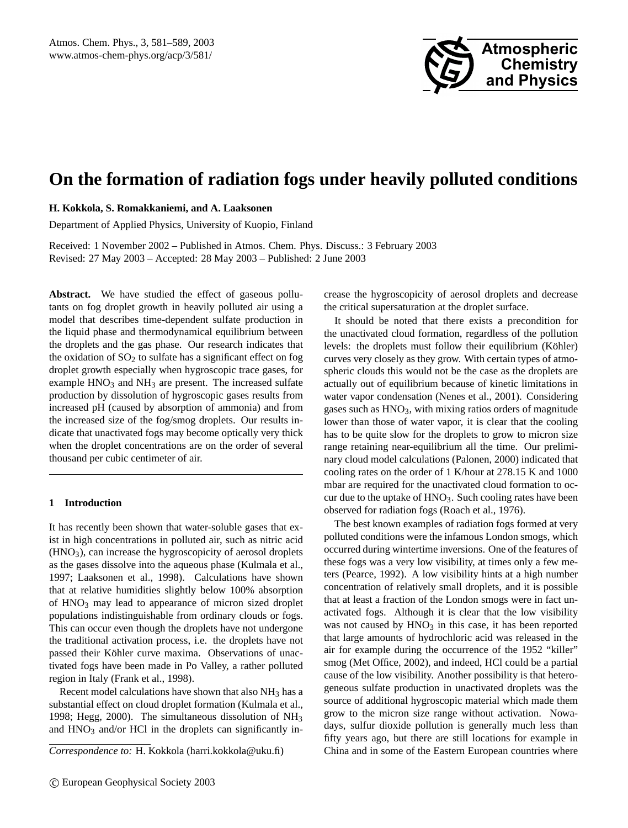

# **On the formation of radiation fogs under heavily polluted conditions**

**H. Kokkola, S. Romakkaniemi, and A. Laaksonen**

Department of Applied Physics, University of Kuopio, Finland

Received: 1 November 2002 – Published in Atmos. Chem. Phys. Discuss.: 3 February 2003 Revised: 27 May 2003 – Accepted: 28 May 2003 – Published: 2 June 2003

**Abstract.** We have studied the effect of gaseous pollutants on fog droplet growth in heavily polluted air using a model that describes time-dependent sulfate production in the liquid phase and thermodynamical equilibrium between the droplets and the gas phase. Our research indicates that the oxidation of  $SO<sub>2</sub>$  to sulfate has a significant effect on fog droplet growth especially when hygroscopic trace gases, for example  $HNO<sub>3</sub>$  and  $NH<sub>3</sub>$  are present. The increased sulfate production by dissolution of hygroscopic gases results from increased pH (caused by absorption of ammonia) and from the increased size of the fog/smog droplets. Our results indicate that unactivated fogs may become optically very thick when the droplet concentrations are on the order of several thousand per cubic centimeter of air.

# **1 Introduction**

It has recently been shown that water-soluble gases that exist in high concentrations in polluted air, such as nitric acid  $(HNO<sub>3</sub>)$ , can increase the hygroscopicity of aerosol droplets as the gases dissolve into the aqueous phase (Kulmala et al., 1997; Laaksonen et al., 1998). Calculations have shown that at relative humidities slightly below 100% absorption of HNO<sup>3</sup> may lead to appearance of micron sized droplet populations indistinguishable from ordinary clouds or fogs. This can occur even though the droplets have not undergone the traditional activation process, i.e. the droplets have not passed their Köhler curve maxima. Observations of unactivated fogs have been made in Po Valley, a rather polluted region in Italy (Frank et al., 1998).

Recent model calculations have shown that also  $NH<sub>3</sub>$  has a substantial effect on cloud droplet formation (Kulmala et al., 1998; Hegg, 2000). The simultaneous dissolution of  $NH<sub>3</sub>$ and  $HNO<sub>3</sub>$  and/or HCl in the droplets can significantly in-

*Correspondence to:* H. Kokkola (harri.kokkola@uku.fi)

crease the hygroscopicity of aerosol droplets and decrease the critical supersaturation at the droplet surface.

It should be noted that there exists a precondition for the unactivated cloud formation, regardless of the pollution levels: the droplets must follow their equilibrium (Köhler) curves very closely as they grow. With certain types of atmospheric clouds this would not be the case as the droplets are actually out of equilibrium because of kinetic limitations in water vapor condensation (Nenes et al., 2001). Considering gases such as  $HNO<sub>3</sub>$ , with mixing ratios orders of magnitude lower than those of water vapor, it is clear that the cooling has to be quite slow for the droplets to grow to micron size range retaining near-equilibrium all the time. Our preliminary cloud model calculations (Palonen, 2000) indicated that cooling rates on the order of 1 K/hour at 278.15 K and 1000 mbar are required for the unactivated cloud formation to occur due to the uptake of HNO<sub>3</sub>. Such cooling rates have been observed for radiation fogs (Roach et al., 1976).

The best known examples of radiation fogs formed at very polluted conditions were the infamous London smogs, which occurred during wintertime inversions. One of the features of these fogs was a very low visibility, at times only a few meters (Pearce, 1992). A low visibility hints at a high number concentration of relatively small droplets, and it is possible that at least a fraction of the London smogs were in fact unactivated fogs. Although it is clear that the low visibility was not caused by  $HNO<sub>3</sub>$  in this case, it has been reported that large amounts of hydrochloric acid was released in the air for example during the occurrence of the 1952 "killer" smog (Met Office, 2002), and indeed, HCl could be a partial cause of the low visibility. Another possibility is that heterogeneous sulfate production in unactivated droplets was the source of additional hygroscopic material which made them grow to the micron size range without activation. Nowadays, sulfur dioxide pollution is generally much less than fifty years ago, but there are still locations for example in China and in some of the Eastern European countries where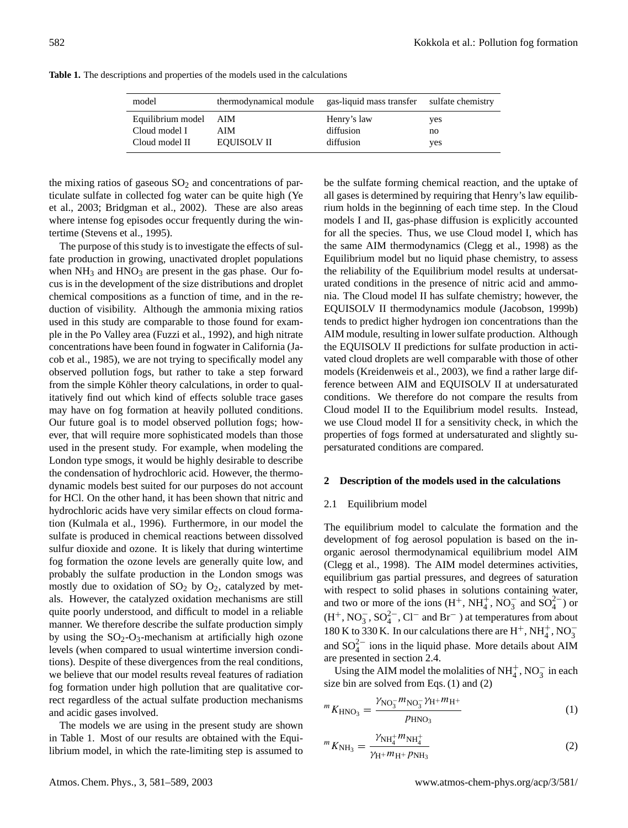| model             | thermodynamical module gas-liquid mass transfer sulfate chemistry |             |     |
|-------------------|-------------------------------------------------------------------|-------------|-----|
| Equilibrium model | – AIM                                                             | Henry's law | yes |
| Cloud model I     | AIM                                                               | diffusion   | no  |
| Cloud model II    | <b>EQUISOLV II</b>                                                | diffusion   | yes |

**Table 1.** The descriptions and properties of the models used in the calculations

the mixing ratios of gaseous  $SO<sub>2</sub>$  and concentrations of particulate sulfate in collected fog water can be quite high (Ye et al., 2003; Bridgman et al., 2002). These are also areas where intense fog episodes occur frequently during the wintertime (Stevens et al., 1995).

The purpose of this study is to investigate the effects of sulfate production in growing, unactivated droplet populations when  $NH_3$  and  $HNO_3$  are present in the gas phase. Our focus is in the development of the size distributions and droplet chemical compositions as a function of time, and in the reduction of visibility. Although the ammonia mixing ratios used in this study are comparable to those found for example in the Po Valley area (Fuzzi et al., 1992), and high nitrate concentrations have been found in fogwater in California (Jacob et al., 1985), we are not trying to specifically model any observed pollution fogs, but rather to take a step forward from the simple Köhler theory calculations, in order to qualitatively find out which kind of effects soluble trace gases may have on fog formation at heavily polluted conditions. Our future goal is to model observed pollution fogs; however, that will require more sophisticated models than those used in the present study. For example, when modeling the London type smogs, it would be highly desirable to describe the condensation of hydrochloric acid. However, the thermodynamic models best suited for our purposes do not account for HCl. On the other hand, it has been shown that nitric and hydrochloric acids have very similar effects on cloud formation (Kulmala et al., 1996). Furthermore, in our model the sulfate is produced in chemical reactions between dissolved sulfur dioxide and ozone. It is likely that during wintertime fog formation the ozone levels are generally quite low, and probably the sulfate production in the London smogs was mostly due to oxidation of  $SO_2$  by  $O_2$ , catalyzed by metals. However, the catalyzed oxidation mechanisms are still quite poorly understood, and difficult to model in a reliable manner. We therefore describe the sulfate production simply by using the  $SO_2$ - $O_3$ -mechanism at artificially high ozone levels (when compared to usual wintertime inversion conditions). Despite of these divergences from the real conditions, we believe that our model results reveal features of radiation fog formation under high pollution that are qualitative correct regardless of the actual sulfate production mechanisms and acidic gases involved.

The models we are using in the present study are shown in Table 1. Most of our results are obtained with the Equilibrium model, in which the rate-limiting step is assumed to be the sulfate forming chemical reaction, and the uptake of all gases is determined by requiring that Henry's law equilibrium holds in the beginning of each time step. In the Cloud models I and II, gas-phase diffusion is explicitly accounted for all the species. Thus, we use Cloud model I, which has the same AIM thermodynamics (Clegg et al., 1998) as the Equilibrium model but no liquid phase chemistry, to assess the reliability of the Equilibrium model results at undersaturated conditions in the presence of nitric acid and ammonia. The Cloud model II has sulfate chemistry; however, the EQUISOLV II thermodynamics module (Jacobson, 1999b) tends to predict higher hydrogen ion concentrations than the AIM module, resulting in lower sulfate production. Although the EQUISOLV II predictions for sulfate production in activated cloud droplets are well comparable with those of other models (Kreidenweis et al., 2003), we find a rather large difference between AIM and EQUISOLV II at undersaturated conditions. We therefore do not compare the results from Cloud model II to the Equilibrium model results. Instead, we use Cloud model II for a sensitivity check, in which the properties of fogs formed at undersaturated and slightly supersaturated conditions are compared.

### **2 Description of the models used in the calculations**

#### 2.1 Equilibrium model

The equilibrium model to calculate the formation and the development of fog aerosol population is based on the inorganic aerosol thermodynamical equilibrium model AIM (Clegg et al., 1998). The AIM model determines activities, equilibrium gas partial pressures, and degrees of saturation with respect to solid phases in solutions containing water, and two or more of the ions  $(H^+, NH_4^+, NO_3^-$  and  $SO_4^{2-})$  or  $(H^+, NO_3^-, SO_4^{2-}, Cl^-$  and  $Br^-$  ) at temperatures from about 180 K to 330 K. In our calculations there are  $H^+$ ,  $NH_4^+$ ,  $NO_3^$ and  $SO_4^{2-}$  ions in the liquid phase. More details about AIM are presented in section 2.4.

Using the AIM model the molalities of  $NH_4^+$ , NO<sub>3</sub> in each size bin are solved from Eqs. (1) and (2)

$$
{}^{m}K_{\text{HNO}_3} = \frac{\gamma_{\text{NO}_3^-} m_{\text{NO}_3^-} \gamma_{\text{H}^+} m_{\text{H}^+}}{p_{\text{HNO}_3}}
$$
(1)

$$
{}^{m}K_{\text{NH}_3} = \frac{\gamma_{\text{NH}_4^+} m_{\text{NH}_4^+}}{\gamma_{\text{H}^+} m_{\text{H}^+} \rho_{\text{NH}_3}}
$$
(2)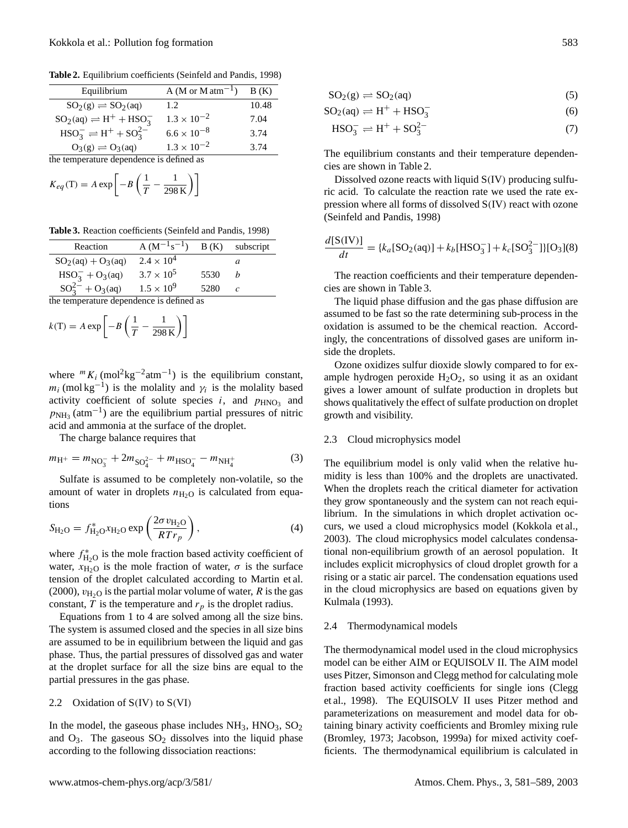**Table 2.** Equilibrium coefficients (Seinfeld and Pandis, 1998)

| Equilibrium                                  | A (M or $M \text{ atm}^{-1}$ ) | B(K)  |
|----------------------------------------------|--------------------------------|-------|
| $SO_2(g) \rightleftharpoons SO_2(aq)$        | 1.2                            | 10.48 |
| $SO_2(aq) \rightleftharpoons H^+ + HSO_3^-$  | $1.3 \times 10^{-2}$           | 7.04  |
| $HSO_3^- \rightleftharpoons H^+ + SO_3^{2-}$ | $6.6 \times 10^{-8}$           | 3.74  |
| $O_3(g) \rightleftharpoons O_3(aq)$          | $1.3 \times 10^{-2}$           | 3.74  |

the temperature dependence is defined as

$$
K_{eq}(\text{T}) = A \exp\left[-B\left(\frac{1}{T} - \frac{1}{298 \text{ K}}\right)\right]
$$

**Table 3.** Reaction coefficients (Seinfeld and Pandis, 1998)

| Reaction                                 | $A(M^{-1}s^{-1})$   |      | B (K) subscript |  |
|------------------------------------------|---------------------|------|-----------------|--|
| $SO_2(aq) + O_3(aq)$                     | $2.4 \times 10^{4}$ |      | a               |  |
| $HSO_3^- + O_3(aq)$                      | $3.7 \times 10^{5}$ | 5530 |                 |  |
| $SO_3^{2-} + O_3(aq)$                    | $1.5 \times 10^{9}$ | 5280 |                 |  |
| the temperature dependence is defined as |                     |      |                 |  |

re temperature dependence is defined as

$$
k(\text{T}) = A \exp\left[-B\left(\frac{1}{T} - \frac{1}{298 \text{ K}}\right)\right]
$$

where  ${}^m K_i$  (mol<sup>2</sup>kg<sup>-2</sup>atm<sup>-1</sup>) is the equilibrium constant,  $m_i$  (mol kg<sup>-1</sup>) is the molality and  $\gamma_i$  is the molality based activity coefficient of solute species  $i$ , and  $p_{\text{HNO}_3}$  and  $p_{NH_3}$  (atm<sup>-1</sup>) are the equilibrium partial pressures of nitric acid and ammonia at the surface of the droplet.

The charge balance requires that

$$
m_{\rm H^{+}} = m_{\rm NO_{3}^{-}} + 2m_{\rm SO_{4}^{2-}} + m_{\rm HSO_{4}^{-}} - m_{\rm NH_{4}^{+}} \tag{3}
$$

Sulfate is assumed to be completely non-volatile, so the amount of water in droplets  $n_{\text{H}_2\text{O}}$  is calculated from equations

$$
S_{\rm H_2O} = f_{\rm H_2O}^* x_{\rm H_2O} \exp\left(\frac{2\sigma v_{\rm H_2O}}{RTr_p}\right),\tag{4}
$$

where  $f_{\text{H}_2\text{O}}^*$  is the mole fraction based activity coefficient of water,  $x_{\text{H}_2\text{O}}$  is the mole fraction of water,  $\sigma$  is the surface tension of the droplet calculated according to Martin et al. (2000),  $v_{H_2O}$  is the partial molar volume of water, R is the gas constant,  $T$  is the temperature and  $r_p$  is the droplet radius.

Equations from 1 to 4 are solved among all the size bins. The system is assumed closed and the species in all size bins are assumed to be in equilibrium between the liquid and gas phase. Thus, the partial pressures of dissolved gas and water at the droplet surface for all the size bins are equal to the partial pressures in the gas phase.

## 2.2 Oxidation of  $S(IV)$  to  $S(VI)$

In the model, the gaseous phase includes  $NH_3$ ,  $HNO_3$ ,  $SO_2$ and  $O_3$ . The gaseous  $SO_2$  dissolves into the liquid phase according to the following dissociation reactions:

$$
SO_2(g) \rightleftharpoons SO_2(aq) \tag{5}
$$

$$
SO_2(aq) \rightleftharpoons H^+ + HSO_3^-
$$
 (6)

$$
HSO_3^- \rightleftharpoons H^+ + SO_3^{2-} \tag{7}
$$

The equilibrium constants and their temperature dependencies are shown in Table 2.

Dissolved ozone reacts with liquid S(IV) producing sulfuric acid. To calculate the reaction rate we used the rate expression where all forms of dissolved S(IV) react with ozone (Seinfeld and Pandis, 1998)

$$
\frac{d[\text{S(IV)}]}{dt} = \{k_a[\text{SO}_2(\text{aq})] + k_b[\text{HSO}_3^-] + k_c[\text{SO}_3^{2-}]\}[\text{O}_3](8)
$$

The reaction coefficients and their temperature dependencies are shown in Table 3.

The liquid phase diffusion and the gas phase diffusion are assumed to be fast so the rate determining sub-process in the oxidation is assumed to be the chemical reaction. Accordingly, the concentrations of dissolved gases are uniform inside the droplets.

Ozone oxidizes sulfur dioxide slowly compared to for example hydrogen peroxide  $H_2O_2$ , so using it as an oxidant gives a lower amount of sulfate production in droplets but shows qualitatively the effect of sulfate production on droplet growth and visibility.

## 2.3 Cloud microphysics model

The equilibrium model is only valid when the relative humidity is less than 100% and the droplets are unactivated. When the droplets reach the critical diameter for activation they grow spontaneously and the system can not reach equilibrium. In the simulations in which droplet activation occurs, we used a cloud microphysics model (Kokkola et al., 2003). The cloud microphysics model calculates condensational non-equilibrium growth of an aerosol population. It includes explicit microphysics of cloud droplet growth for a rising or a static air parcel. The condensation equations used in the cloud microphysics are based on equations given by Kulmala (1993).

# 2.4 Thermodynamical models

The thermodynamical model used in the cloud microphysics model can be either AIM or EQUISOLV II. The AIM model uses Pitzer, Simonson and Clegg method for calculating mole fraction based activity coefficients for single ions (Clegg et al., 1998). The EQUISOLV II uses Pitzer method and parameterizations on measurement and model data for obtaining binary activity coefficients and Bromley mixing rule (Bromley, 1973; Jacobson, 1999a) for mixed activity coefficients. The thermodynamical equilibrium is calculated in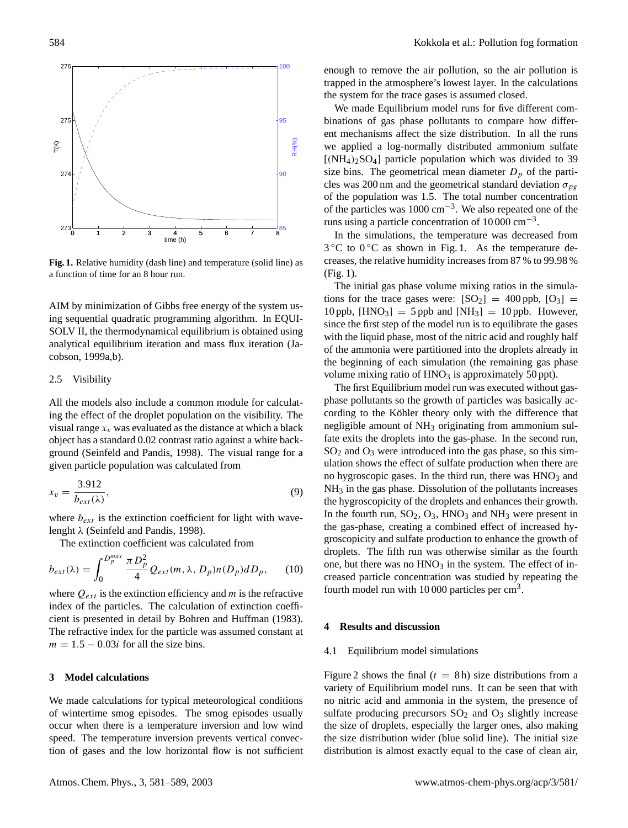

**Fig. 1.** Relative humidity (dash line) and temperature (solid line) as a function of time for an 8 hour run.

AIM by minimization of Gibbs free energy of the system using sequential quadratic programming algorithm. In EQUI-SOLV II, the thermodynamical equilibrium is obtained using analytical equilibrium iteration and mass flux iteration (Jacobson, 1999a,b).

## 2.5 Visibility

All the models also include a common module for calculating the effect of the droplet population on the visibility. The visual range  $x_v$  was evaluated as the distance at which a black object has a standard 0.02 contrast ratio against a white background (Seinfeld and Pandis, 1998). The visual range for a given particle population was calculated from

$$
x_v = \frac{3.912}{b_{ext}(\lambda)},\tag{9}
$$

where  $b_{ext}$  is the extinction coefficient for light with wavelenght λ (Seinfeld and Pandis, 1998).

The extinction coefficient was calculated from

$$
b_{ext}(\lambda) = \int_0^{D_p^{max}} \frac{\pi D_p^2}{4} Q_{ext}(m, \lambda, D_p) n(D_p) dD_p, \qquad (10)
$$

where  $Q_{ext}$  is the extinction efficiency and m is the refractive index of the particles. The calculation of extinction coefficient is presented in detail by Bohren and Huffman (1983). The refractive index for the particle was assumed constant at  $m = 1.5 - 0.03i$  for all the size bins.

# **3 Model calculations**

We made calculations for typical meteorological conditions of wintertime smog episodes. The smog episodes usually occur when there is a temperature inversion and low wind speed. The temperature inversion prevents vertical convection of gases and the low horizontal flow is not sufficient enough to remove the air pollution, so the air pollution is trapped in the atmosphere's lowest layer. In the calculations the system for the trace gases is assumed closed.

We made Equilibrium model runs for five different combinations of gas phase pollutants to compare how different mechanisms affect the size distribution. In all the runs we applied a log-normally distributed ammonium sulfate  $[(NH_4)_2SO_4]$  particle population which was divided to 39 size bins. The geometrical mean diameter  $D_p$  of the particles was 200 nm and the geometrical standard deviation  $\sigma_{pp}$ of the population was 1.5. The total number concentration of the particles was 1000 cm−<sup>3</sup> . We also repeated one of the runs using a particle concentration of  $10000 \text{ cm}^{-3}$ .

In the simulations, the temperature was decreased from 3 °C to 0 °C as shown in Fig. 1. As the temperature decreases, the relative humidity increases from 87 % to 99.98 % (Fig. 1).

The initial gas phase volume mixing ratios in the simulations for the trace gases were:  $[SO_2] = 400$  ppb,  $[O_3] =$  $10 \text{ pb}$ ,  $[\text{HNO}_3] = 5 \text{ pb}$  and  $[\text{NH}_3] = 10 \text{ pb}$ . However, since the first step of the model run is to equilibrate the gases with the liquid phase, most of the nitric acid and roughly half of the ammonia were partitioned into the droplets already in the beginning of each simulation (the remaining gas phase volume mixing ratio of  $HNO<sub>3</sub>$  is approximately 50 ppt).

The first Equilibrium model run was executed without gasphase pollutants so the growth of particles was basically according to the Köhler theory only with the difference that negligible amount of NH<sub>3</sub> originating from ammonium sulfate exits the droplets into the gas-phase. In the second run,  $SO<sub>2</sub>$  and  $O<sub>3</sub>$  were introduced into the gas phase, so this simulation shows the effect of sulfate production when there are no hygroscopic gases. In the third run, there was  $HNO<sub>3</sub>$  and  $NH<sub>3</sub>$  in the gas phase. Dissolution of the pollutants increases the hygroscopicity of the droplets and enhances their growth. In the fourth run,  $SO_2$ ,  $O_3$ ,  $HNO_3$  and  $NH_3$  were present in the gas-phase, creating a combined effect of increased hygroscopicity and sulfate production to enhance the growth of droplets. The fifth run was otherwise similar as the fourth one, but there was no  $HNO<sub>3</sub>$  in the system. The effect of increased particle concentration was studied by repeating the fourth model run with  $10000$  particles per  $\text{cm}^3$ .

## **4 Results and discussion**

#### 4.1 Equilibrium model simulations

Figure 2 shows the final  $(t = 8h)$  size distributions from a variety of Equilibrium model runs. It can be seen that with no nitric acid and ammonia in the system, the presence of sulfate producing precursors  $SO_2$  and  $O_3$  slightly increase the size of droplets, especially the larger ones, also making the size distribution wider (blue solid line). The initial size distribution is almost exactly equal to the case of clean air,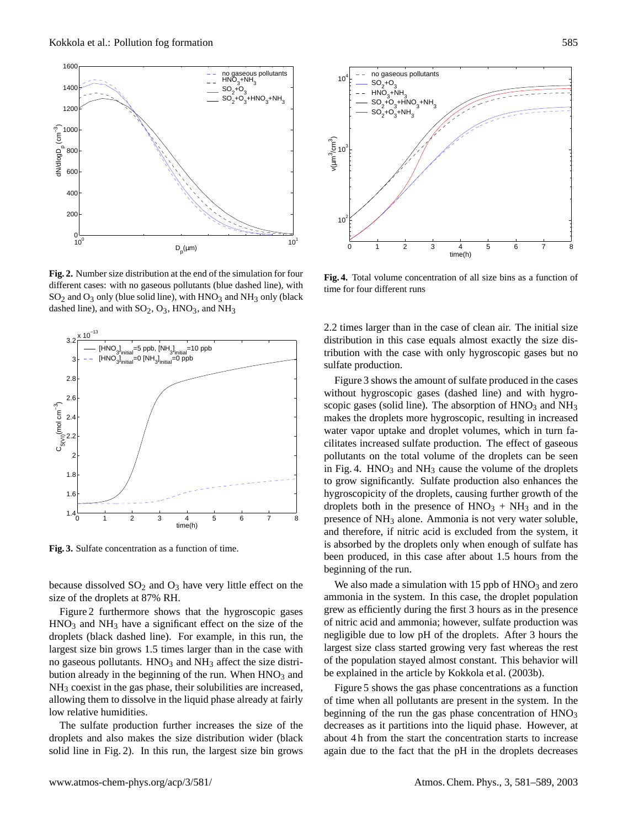

**Fig. 2.** Number size distribution at the end of the simulation for four different cases: with no gaseous pollutants (blue dashed line), with  $SO<sub>2</sub>$  and  $O<sub>3</sub>$  only (blue solid line), with  $HNO<sub>3</sub>$  and  $NH<sub>3</sub>$  only (black dashed line), and with  $SO_2$ ,  $O_3$ , HNO<sub>3</sub>, and NH<sub>3</sub>



**Fig. 3.** Sulfate concentration as a function of time.

because dissolved  $SO_2$  and  $O_3$  have very little effect on the size of the droplets at 87% RH.

Figure 2 furthermore shows that the hygroscopic gases HNO<sub>3</sub> and NH<sub>3</sub> have a significant effect on the size of the droplets (black dashed line). For example, in this run, the largest size bin grows 1.5 times larger than in the case with no gaseous pollutants.  $HNO<sub>3</sub>$  and  $NH<sub>3</sub>$  affect the size distribution already in the beginning of the run. When  $HNO<sub>3</sub>$  and NH<sup>3</sup> coexist in the gas phase, their solubilities are increased, allowing them to dissolve in the liquid phase already at fairly low relative humidities.

The sulfate production further increases the size of the droplets and also makes the size distribution wider (black solid line in Fig. 2). In this run, the largest size bin grows



**Fig. 4.** Total volume concentration of all size bins as a function of time for four different runs

2.2 times larger than in the case of clean air. The initial size distribution in this case equals almost exactly the size distribution with the case with only hygroscopic gases but no sulfate production.

Figure 3 shows the amount of sulfate produced in the cases without hygroscopic gases (dashed line) and with hygroscopic gases (solid line). The absorption of  $HNO<sub>3</sub>$  and  $NH<sub>3</sub>$ makes the droplets more hygroscopic, resulting in increased water vapor uptake and droplet volumes, which in turn facilitates increased sulfate production. The effect of gaseous pollutants on the total volume of the droplets can be seen in Fig. 4.  $HNO<sub>3</sub>$  and  $NH<sub>3</sub>$  cause the volume of the droplets to grow significantly. Sulfate production also enhances the hygroscopicity of the droplets, causing further growth of the droplets both in the presence of  $HNO<sub>3</sub> + NH<sub>3</sub>$  and in the presence of NH<sub>3</sub> alone. Ammonia is not very water soluble, and therefore, if nitric acid is excluded from the system, it is absorbed by the droplets only when enough of sulfate has been produced, in this case after about 1.5 hours from the beginning of the run.

We also made a simulation with 15 ppb of  $HNO<sub>3</sub>$  and zero ammonia in the system. In this case, the droplet population grew as efficiently during the first 3 hours as in the presence of nitric acid and ammonia; however, sulfate production was negligible due to low pH of the droplets. After 3 hours the largest size class started growing very fast whereas the rest of the population stayed almost constant. This behavior will be explained in the article by Kokkola et al. (2003b).

Figure 5 shows the gas phase concentrations as a function of time when all pollutants are present in the system. In the beginning of the run the gas phase concentration of  $HNO<sub>3</sub>$ decreases as it partitions into the liquid phase. However, at about 4 h from the start the concentration starts to increase again due to the fact that the pH in the droplets decreases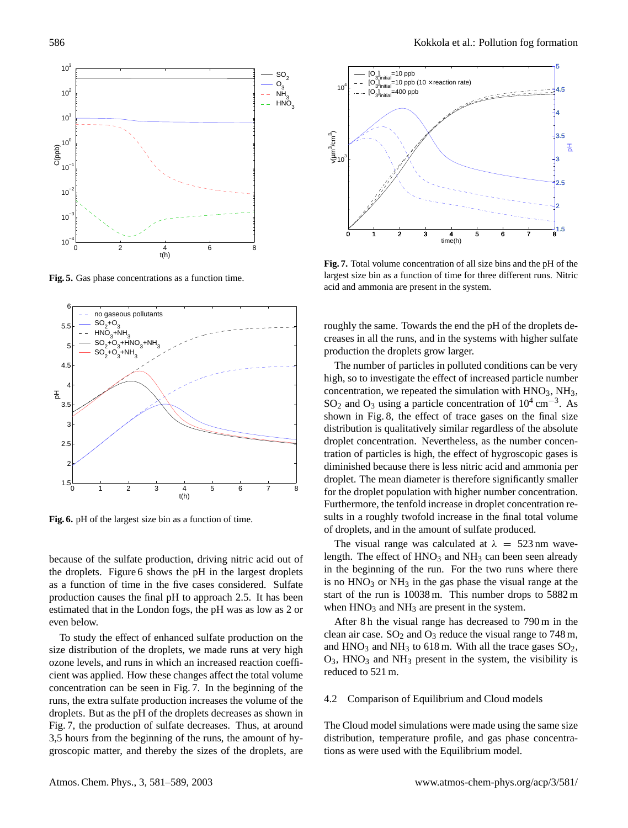

**Fig. 5.** Gas phase concentrations as a function time.



**Fig. 6.** pH of the largest size bin as a function of time.

because of the sulfate production, driving nitric acid out of the droplets. Figure 6 shows the pH in the largest droplets as a function of time in the five cases considered. Sulfate production causes the final pH to approach 2.5. It has been estimated that in the London fogs, the pH was as low as 2 or even below.

To study the effect of enhanced sulfate production on the size distribution of the droplets, we made runs at very high ozone levels, and runs in which an increased reaction coefficient was applied. How these changes affect the total volume concentration can be seen in Fig. 7. In the beginning of the runs, the extra sulfate production increases the volume of the droplets. But as the pH of the droplets decreases as shown in Fig. 7, the production of sulfate decreases. Thus, at around 3,5 hours from the beginning of the runs, the amount of hygroscopic matter, and thereby the sizes of the droplets, are



**Fig. 7.** Total volume concentration of all size bins and the pH of the largest size bin as a function of time for three different runs. Nitric acid and ammonia are present in the system.

roughly the same. Towards the end the pH of the droplets decreases in all the runs, and in the systems with higher sulfate production the droplets grow larger.

The number of particles in polluted conditions can be very high, so to investigate the effect of increased particle number concentration, we repeated the simulation with  $HNO<sub>3</sub>$ ,  $NH<sub>3</sub>$ , SO<sub>2</sub> and O<sub>3</sub> using a particle concentration of  $10^4 \text{ cm}^{-3}$ . As shown in Fig. 8, the effect of trace gases on the final size distribution is qualitatively similar regardless of the absolute droplet concentration. Nevertheless, as the number concentration of particles is high, the effect of hygroscopic gases is diminished because there is less nitric acid and ammonia per droplet. The mean diameter is therefore significantly smaller for the droplet population with higher number concentration. Furthermore, the tenfold increase in droplet concentration results in a roughly twofold increase in the final total volume of droplets, and in the amount of sulfate produced.

The visual range was calculated at  $\lambda = 523$  nm wavelength. The effect of  $HNO<sub>3</sub>$  and  $NH<sub>3</sub>$  can been seen already in the beginning of the run. For the two runs where there is no  $HNO<sub>3</sub>$  or  $NH<sub>3</sub>$  in the gas phase the visual range at the start of the run is 10038 m. This number drops to 5882 m when  $HNO<sub>3</sub>$  and  $NH<sub>3</sub>$  are present in the system.

After 8 h the visual range has decreased to 790 m in the clean air case.  $SO_2$  and  $O_3$  reduce the visual range to 748 m, and  $HNO<sub>3</sub>$  and  $NH<sub>3</sub>$  to 618 m. With all the trace gases  $SO<sub>2</sub>$ ,  $O_3$ , HNO<sub>3</sub> and NH<sub>3</sub> present in the system, the visibility is reduced to 521 m.

## 4.2 Comparison of Equilibrium and Cloud models

The Cloud model simulations were made using the same size distribution, temperature profile, and gas phase concentrations as were used with the Equilibrium model.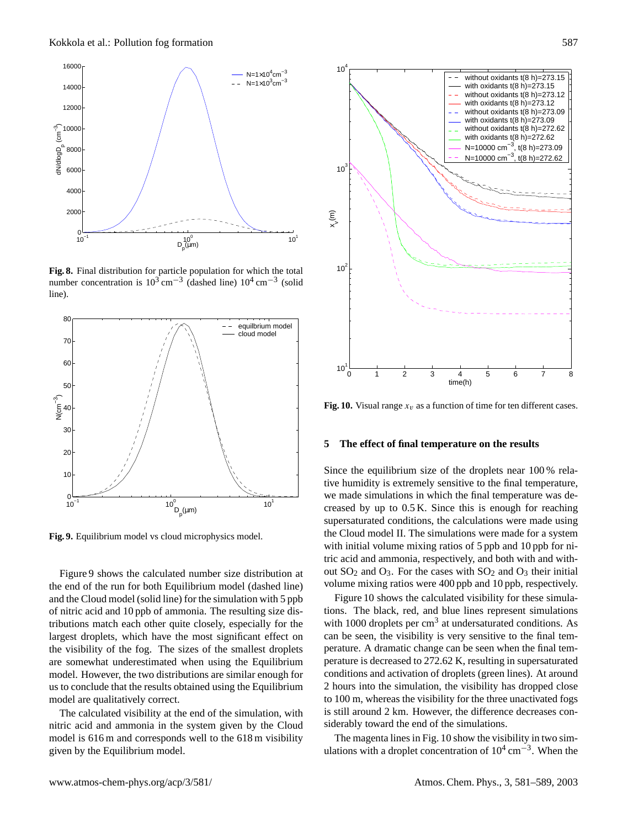

**Fig. 8.** Final distribution for particle population for which the total number concentration is  $10^3$  cm<sup>-3</sup> (dashed line)  $10^4$  cm<sup>-3</sup> (solid line).



**Fig. 9.** Equilibrium model vs cloud microphysics model.

Figure 9 shows the calculated number size distribution at the end of the run for both Equilibrium model (dashed line) and the Cloud model (solid line) for the simulation with 5 ppb of nitric acid and 10 ppb of ammonia. The resulting size distributions match each other quite closely, especially for the largest droplets, which have the most significant effect on the visibility of the fog. The sizes of the smallest droplets are somewhat underestimated when using the Equilibrium model. However, the two distributions are similar enough for us to conclude that the results obtained using the Equilibrium model are qualitatively correct.

The calculated visibility at the end of the simulation, with nitric acid and ammonia in the system given by the Cloud model is 616 m and corresponds well to the 618 m visibility given by the Equilibrium model.



**Fig. 10.** Visual range  $x_v$  as a function of time for ten different cases.

#### **5 The effect of final temperature on the results**

Since the equilibrium size of the droplets near 100 % relative humidity is extremely sensitive to the final temperature, we made simulations in which the final temperature was decreased by up to 0.5 K. Since this is enough for reaching supersaturated conditions, the calculations were made using the Cloud model II. The simulations were made for a system with initial volume mixing ratios of 5 ppb and 10 ppb for nitric acid and ammonia, respectively, and both with and without  $SO_2$  and  $O_3$ . For the cases with  $SO_2$  and  $O_3$  their initial volume mixing ratios were 400 ppb and 10 ppb, respectively.

Figure 10 shows the calculated visibility for these simulations. The black, red, and blue lines represent simulations with 1000 droplets per  $cm<sup>3</sup>$  at undersaturated conditions. As can be seen, the visibility is very sensitive to the final temperature. A dramatic change can be seen when the final temperature is decreased to 272.62 K, resulting in supersaturated conditions and activation of droplets (green lines). At around 2 hours into the simulation, the visibility has dropped close to 100 m, whereas the visibility for the three unactivated fogs is still around 2 km. However, the difference decreases considerably toward the end of the simulations.

The magenta lines in Fig. 10 show the visibility in two simulations with a droplet concentration of  $10^4 \text{ cm}^{-3}$ . When the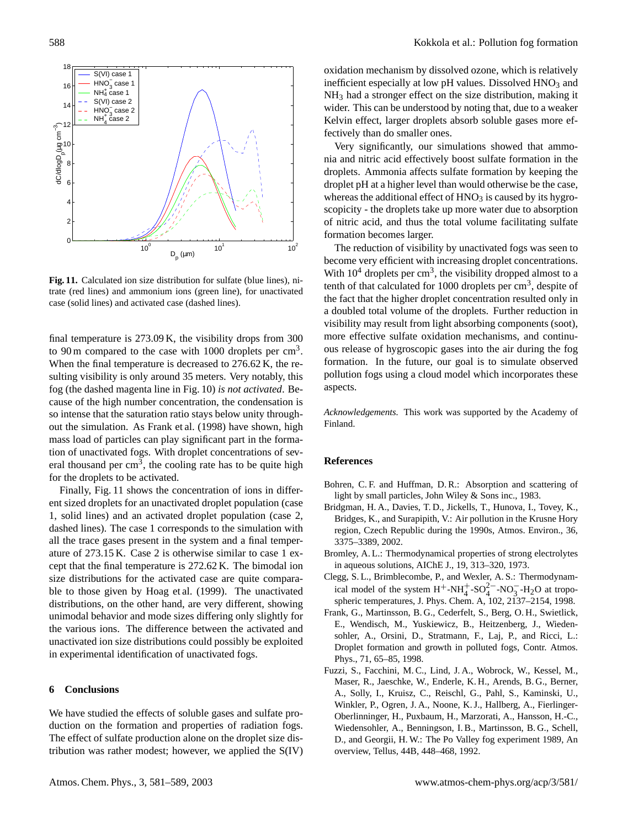

**Fig. 11.** Calculated ion size distribution for sulfate (blue lines), nitrate (red lines) and ammonium ions (green line), for unactivated case (solid lines) and activated case (dashed lines).

final temperature is 273.09 K, the visibility drops from 300 to 90 m compared to the case with 1000 droplets per  $\text{cm}^3$ . When the final temperature is decreased to 276.62 K, the resulting visibility is only around 35 meters. Very notably, this fog (the dashed magenta line in Fig. 10) *is not activated*. Because of the high number concentration, the condensation is so intense that the saturation ratio stays below unity throughout the simulation. As Frank et al. (1998) have shown, high mass load of particles can play significant part in the formation of unactivated fogs. With droplet concentrations of several thousand per  $\text{cm}^3$ , the cooling rate has to be quite high for the droplets to be activated.

Finally, Fig. 11 shows the concentration of ions in different sized droplets for an unactivated droplet population (case 1, solid lines) and an activated droplet population (case 2, dashed lines). The case 1 corresponds to the simulation with all the trace gases present in the system and a final temperature of 273.15 K. Case 2 is otherwise similar to case 1 except that the final temperature is 272.62 K. The bimodal ion size distributions for the activated case are quite comparable to those given by Hoag et al. (1999). The unactivated distributions, on the other hand, are very different, showing unimodal behavior and mode sizes differing only slightly for the various ions. The difference between the activated and unactivated ion size distributions could possibly be exploited in experimental identification of unactivated fogs.

## **6 Conclusions**

We have studied the effects of soluble gases and sulfate production on the formation and properties of radiation fogs. The effect of sulfate production alone on the droplet size distribution was rather modest; however, we applied the S(IV) oxidation mechanism by dissolved ozone, which is relatively inefficient especially at low  $pH$  values. Dissolved  $HNO<sub>3</sub>$  and NH<sup>3</sup> had a stronger effect on the size distribution, making it wider. This can be understood by noting that, due to a weaker Kelvin effect, larger droplets absorb soluble gases more effectively than do smaller ones.

Very significantly, our simulations showed that ammonia and nitric acid effectively boost sulfate formation in the droplets. Ammonia affects sulfate formation by keeping the droplet pH at a higher level than would otherwise be the case, whereas the additional effect of  $HNO<sub>3</sub>$  is caused by its hygroscopicity - the droplets take up more water due to absorption of nitric acid, and thus the total volume facilitating sulfate formation becomes larger.

The reduction of visibility by unactivated fogs was seen to become very efficient with increasing droplet concentrations. With  $10^4$  droplets per cm<sup>3</sup>, the visibility dropped almost to a tenth of that calculated for  $1000$  droplets per  $cm<sup>3</sup>$ , despite of the fact that the higher droplet concentration resulted only in a doubled total volume of the droplets. Further reduction in visibility may result from light absorbing components (soot), more effective sulfate oxidation mechanisms, and continuous release of hygroscopic gases into the air during the fog formation. In the future, our goal is to simulate observed pollution fogs using a cloud model which incorporates these aspects.

*Acknowledgements.* This work was supported by the Academy of Finland.

## **References**

- Bohren, C. F. and Huffman, D. R.: Absorption and scattering of light by small particles, John Wiley & Sons inc., 1983.
- Bridgman, H. A., Davies, T. D., Jickells, T., Hunova, I., Tovey, K., Bridges, K., and Surapipith, V.: Air pollution in the Krusne Hory region, Czech Republic during the 1990s, Atmos. Environ., 36, 3375–3389, 2002.
- Bromley, A. L.: Thermodynamical properties of strong electrolytes in aqueous solutions, AIChE J., 19, 313–320, 1973.
- Clegg, S. L., Brimblecombe, P., and Wexler, A. S.: Thermodynamical model of the system  $H^+$ -NH<sup>+</sup>-SO<sub>4</sub><sup>-</sup>-NO<sub>3</sub>-H<sub>2</sub>O at tropospheric temperatures, J. Phys. Chem. A, 102, 2137–2154, 1998.
- Frank, G., Martinsson, B. G., Cederfelt, S., Berg, O. H., Swietlick, E., Wendisch, M., Yuskiewicz, B., Heitzenberg, J., Wiedensohler, A., Orsini, D., Stratmann, F., Laj, P., and Ricci, L.: Droplet formation and growth in polluted fogs, Contr. Atmos. Phys., 71, 65–85, 1998.
- Fuzzi, S., Facchini, M. C., Lind, J. A., Wobrock, W., Kessel, M., Maser, R., Jaeschke, W., Enderle, K. H., Arends, B. G., Berner, A., Solly, I., Kruisz, C., Reischl, G., Pahl, S., Kaminski, U., Winkler, P., Ogren, J. A., Noone, K. J., Hallberg, A., Fierlinger-Oberlinninger, H., Puxbaum, H., Marzorati, A., Hansson, H.-C., Wiedensohler, A., Benningson, I. B., Martinsson, B. G., Schell, D., and Georgii, H. W.: The Po Valley fog experiment 1989, An overview, Tellus, 44B, 448–468, 1992.